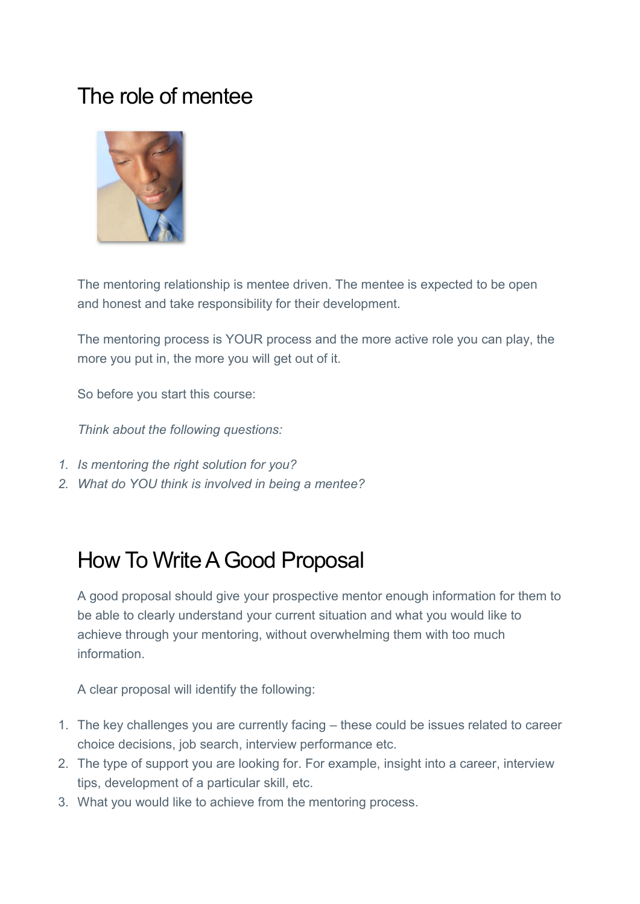### The role of mentee



The mentoring relationship is mentee driven. The mentee is expected to be open and honest and take responsibility for their development.

The mentoring process is YOUR process and the more active role you can play, the more you put in, the more you will get out of it.

So before you start this course:

*Think about the following questions:* 

- *1. Is mentoring the right solution for you?*
- *2. What do YOU think is involved in being a mentee?*

### How To Write A Good Proposal

A good proposal should give your prospective mentor enough information for them to be able to clearly understand your current situation and what you would like to achieve through your mentoring, without overwhelming them with too much information.

A clear proposal will identify the following:

- 1. The key challenges you are currently facing these could be issues related to career choice decisions, job search, interview performance etc.
- 2. The type of support you are looking for. For example, insight into a career, interview tips, development of a particular skill, etc.
- 3. What you would like to achieve from the mentoring process.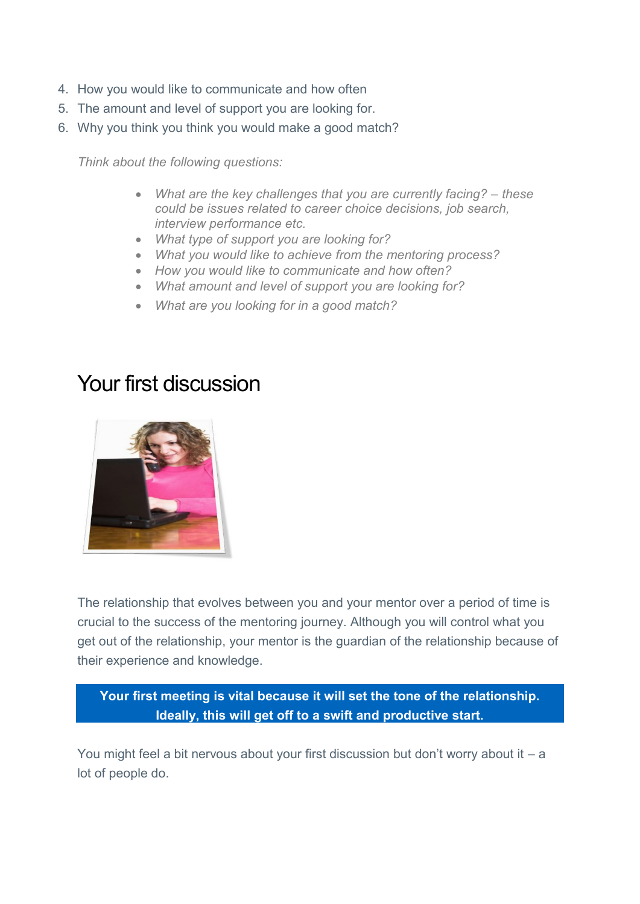- 4. How you would like to communicate and how often
- 5. The amount and level of support you are looking for.
- 6. Why you think you think you would make a good match?

*Think about the following questions:* 

- What are the key challenges that you are currently facing? these *could be issues related to career choice decisions, job search, interview performance etc.*
- *What type of support you are looking for?*
- *What you would like to achieve from the mentoring process?*
- *How you would like to communicate and how often?*
- *What amount and level of support you are looking for?*
- *What are you looking for in a good match?*

#### Your first discussion



The relationship that evolves between you and your mentor over a period of time is crucial to the success of the mentoring journey. Although you will control what you get out of the relationship, your mentor is the guardian of the relationship because of their experience and knowledge.

**Your first meeting is vital because it will set the tone of the relationship. Ideally, this will get off to a swift and productive start.** 

You might feel a bit nervous about your first discussion but don't worry about it – a lot of people do.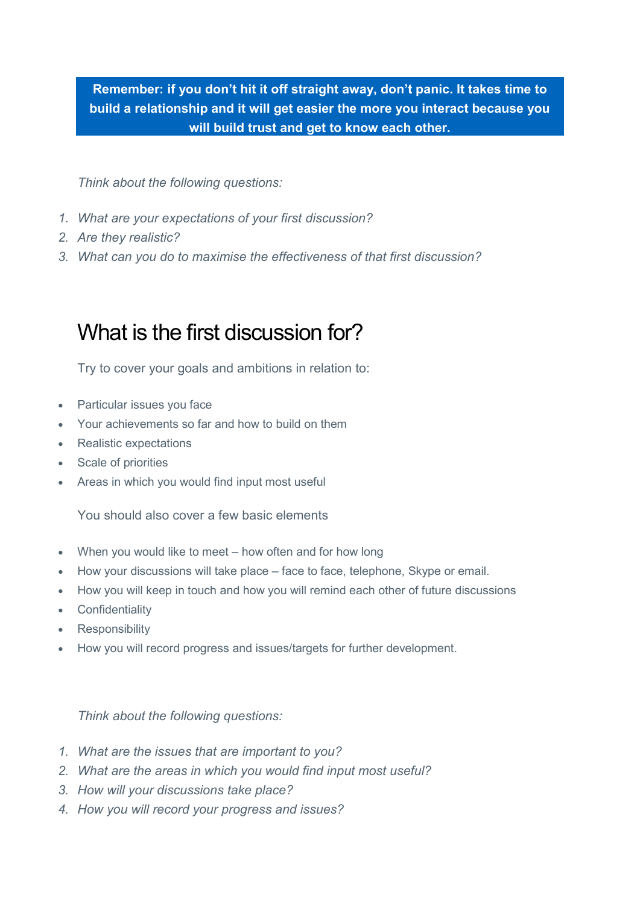**Remember: if you don't hit it off straight away, don't panic. It takes time to build a relationship and it will get easier the more you interact because you will build trust and get to know each other.** 

*Think about the following questions:* 

- *1. What are your expectations of your first discussion?*
- *2. Are they realistic?*
- *3. What can you do to maximise the effectiveness of that first discussion?*

#### What is the first discussion for?

Try to cover your goals and ambitions in relation to:

- Particular issues you face
- Your achievements so far and how to build on them
- Realistic expectations
- Scale of priorities
- Areas in which you would find input most useful

You should also cover a few basic elements

- When you would like to meet how often and for how long
- How your discussions will take place face to face, telephone, Skype or email.
- How you will keep in touch and how you will remind each other of future discussions
- Confidentiality
- Responsibility
- How you will record progress and issues/targets for further development.

- *1. What are the issues that are important to you?*
- *2. What are the areas in which you would find input most useful?*
- *3. How will your discussions take place?*
- *4. How you will record your progress and issues?*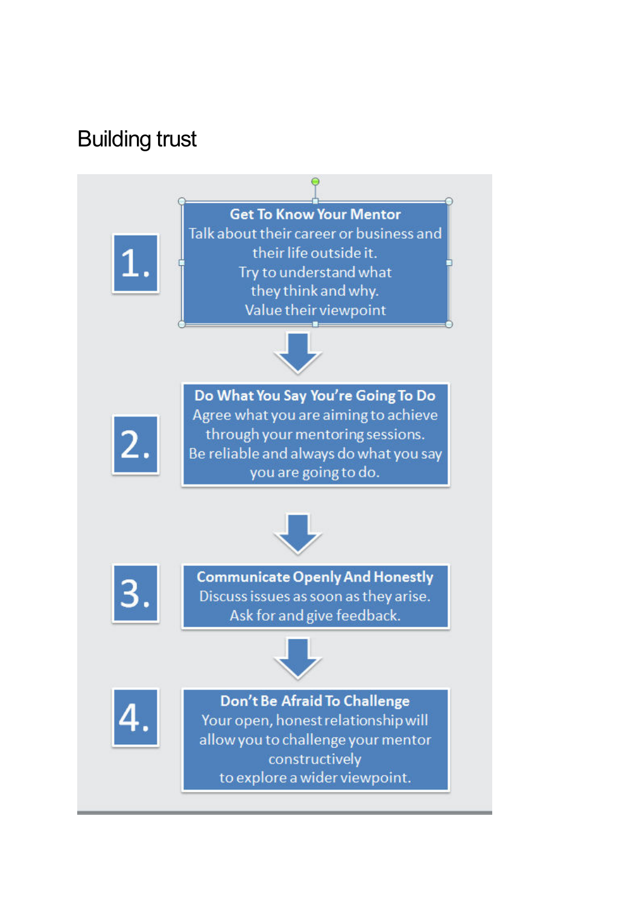### Building trust

**Get To Know Your Mentor** Talk about their career or business and their life outside it. Try to understand what they think and why. Value their viewpoint



Do What You Say You're Going To Do Agree what you are aiming to achieve through your mentoring sessions. Be reliable and always do what you say you are going to do.





**Communicate Openly And Honestly** Discuss issues as soon as they arise. Ask for and give feedback.





Don't Be Afraid To Challenge Your open, honest relationship will allow you to challenge your mentor constructively to explore a wider viewpoint.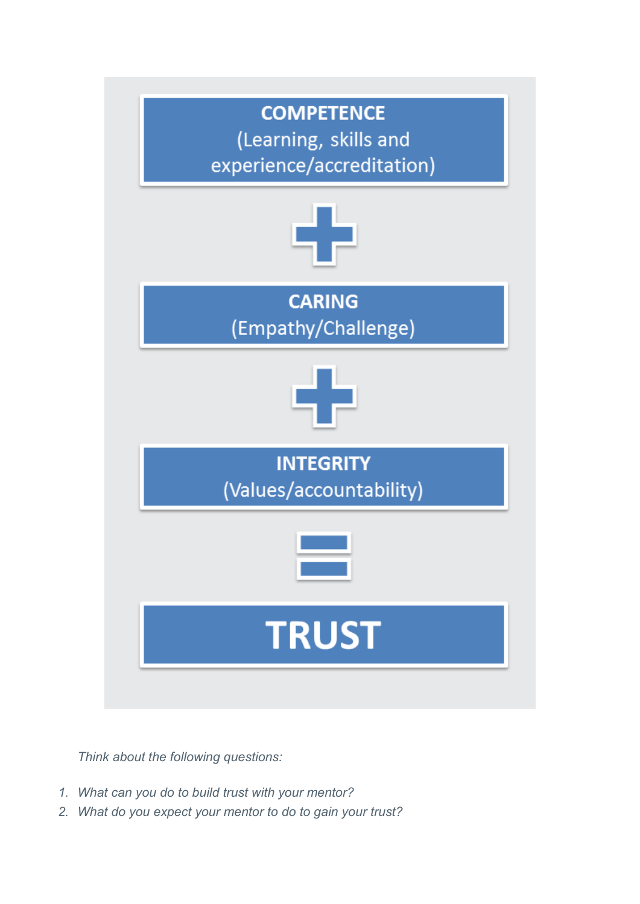

- *1. What can you do to build trust with your mentor?*
- *2. What do you expect your mentor to do to gain your trust?*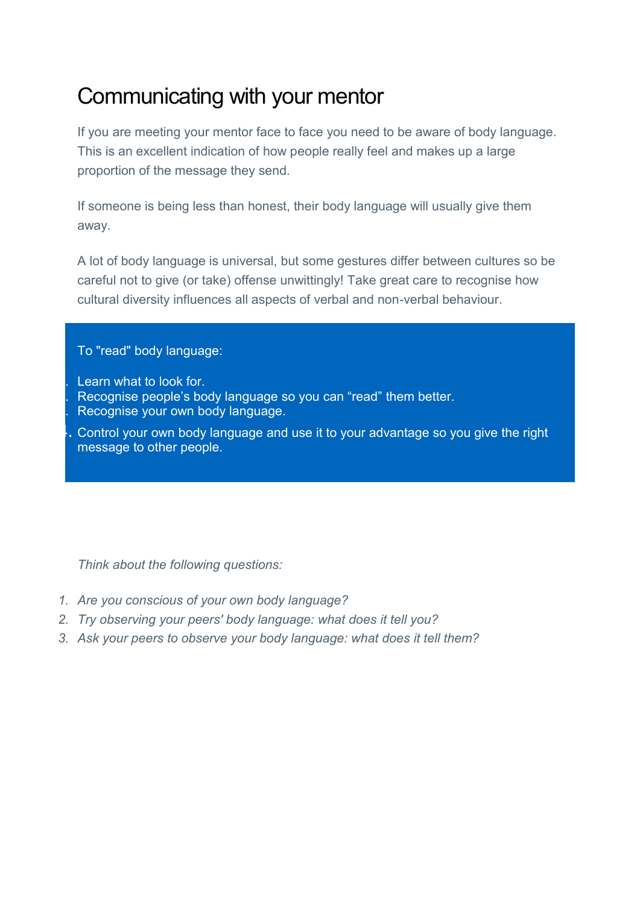# Communicating with your mentor

If you are meeting your mentor face to face you need to be aware of body language. This is an excellent indication of how people really feel and makes up a large proportion of the message they send.

If someone is being less than honest, their body language will usually give them away.

A lot of body language is universal, but some gestures differ between cultures so be careful not to give (or take) offense unwittingly! Take great care to recognise how cultural diversity influences all aspects of verbal and non-verbal behaviour.

#### To "read" body language:

- Learn what to look for.
- 2. Recognise people's body language so you can "read" them better.
- Recognise your own body language.
- 4. Control your own body language and use it to your advantage so you give the right message to other people.

- *1. Are you conscious of your own body language?*
- *2. Try observing your peers' body language: what does it tell you?*
- *3. Ask your peers to observe your body language: what does it tell them?*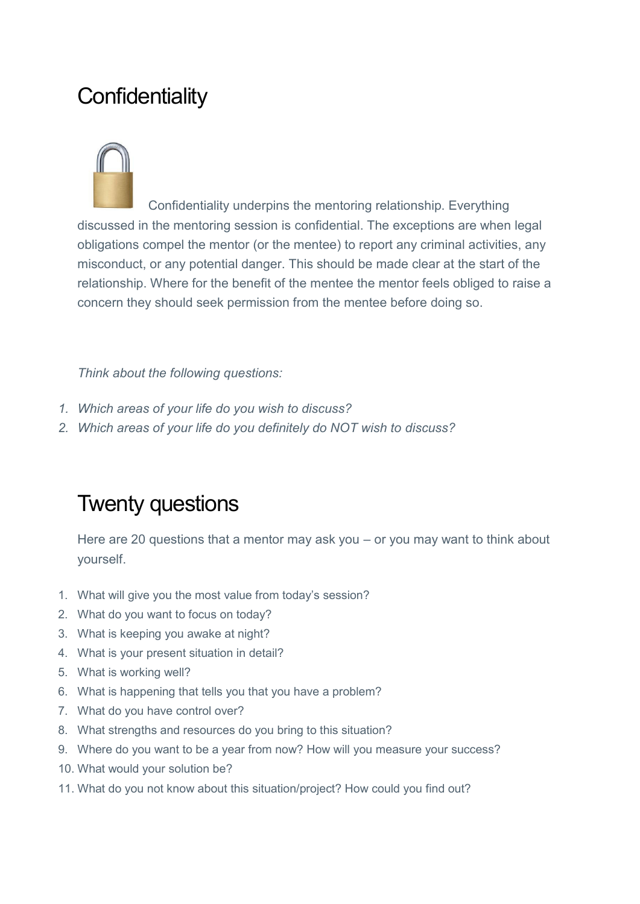## **Confidentiality**



Confidentiality underpins the mentoring relationship. Everything discussed in the mentoring session is confidential. The exceptions are when legal obligations compel the mentor (or the mentee) to report any criminal activities, any misconduct, or any potential danger. This should be made clear at the start of the relationship. Where for the benefit of the mentee the mentor feels obliged to raise a concern they should seek permission from the mentee before doing so.

#### *Think about the following questions:*

- *1. Which areas of your life do you wish to discuss?*
- *2. Which areas of your life do you definitely do NOT wish to discuss?*

### Twenty questions

Here are 20 questions that a mentor may ask you – or you may want to think about yourself.

- 1. What will give you the most value from today's session?
- 2. What do you want to focus on today?
- 3. What is keeping you awake at night?
- 4. What is your present situation in detail?
- 5. What is working well?
- 6. What is happening that tells you that you have a problem?
- 7. What do you have control over?
- 8. What strengths and resources do you bring to this situation?
- 9. Where do you want to be a year from now? How will you measure your success?
- 10. What would your solution be?
- 11. What do you not know about this situation/project? How could you find out?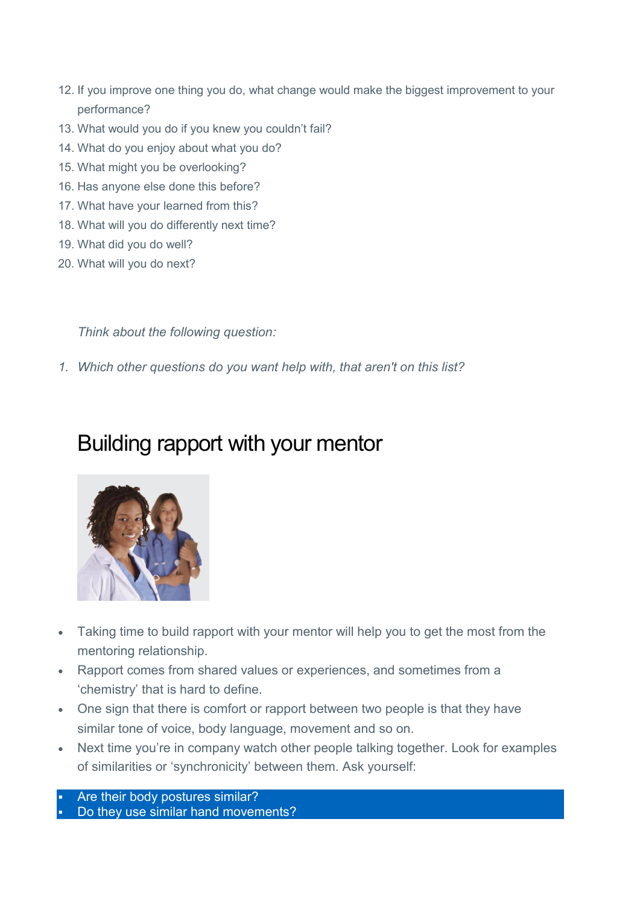- 12. If you improve one thing you do, what change would make the biggest improvement to your performance?
- 13. What would you do if you knew you couldn't fail?
- 14. What do you enjoy about what you do?
- 15. What might you be overlooking?
- 16. Has anyone else done this before?
- 17. What have your learned from this?
- 18. What will you do differently next time?
- 19. What did you do well?
- 20. What will you do next?

*Think about the following question:* 

*1. Which other questions do you want help with, that aren't on this list?* 

#### Building rapport with your mentor



- Taking time to build rapport with your mentor will help you to get the most from the mentoring relationship.
- Rapport comes from shared values or experiences, and sometimes from a 'chemistry' that is hard to define.
- One sign that there is comfort or rapport between two people is that they have similar tone of voice, body language, movement and so on.
- Next time you're in company watch other people talking together. Look for examples of similarities or 'synchronicity' between them. Ask yourself:

 Are their body postures similar? Do they use similar hand movements?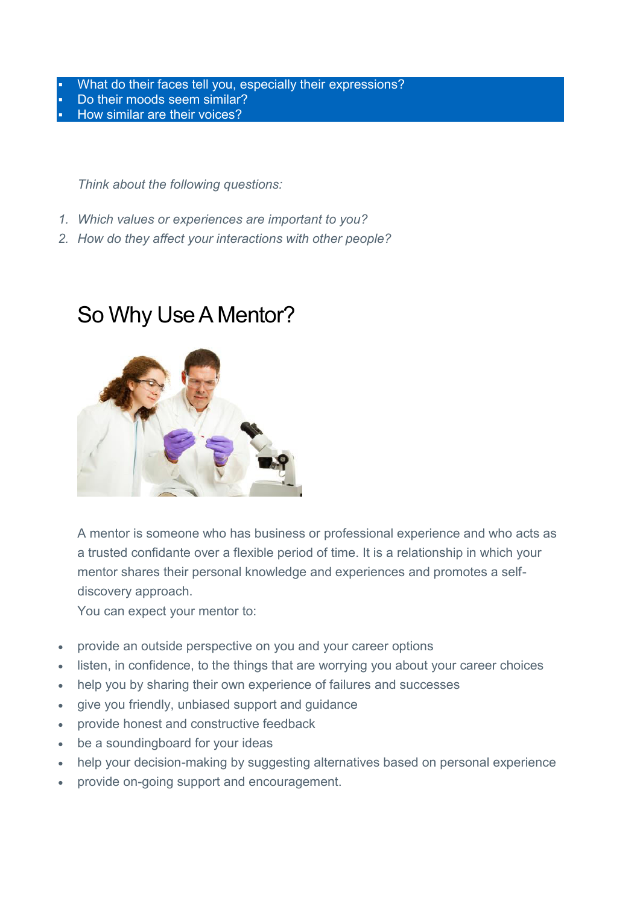- What do their faces tell you, especially their expressions?
- Do their moods seem similar?
- How similar are their voices?

*Think about the following questions:* 

- *1. Which values or experiences are important to you?*
- *2. How do they affect your interactions with other people?*

#### So Why Use A Mentor?



A mentor is someone who has business or professional experience and who acts as a trusted confidante over a flexible period of time. It is a relationship in which your mentor shares their personal knowledge and experiences and promotes a selfdiscovery approach.

You can expect your mentor to:

- provide an outside perspective on you and your career options
- listen, in confidence, to the things that are worrying you about your career choices
- help you by sharing their own experience of failures and successes
- give you friendly, unbiased support and guidance
- provide honest and constructive feedback
- be a soundingboard for your ideas
- help your decision-making by suggesting alternatives based on personal experience
- provide on-going support and encouragement.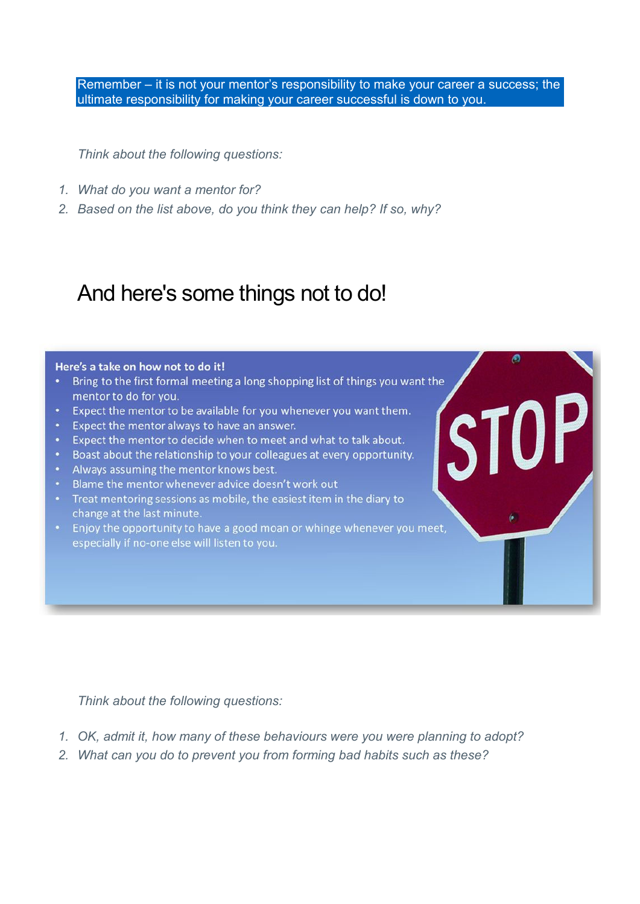Remember – it is not your mentor's responsibility to make your career a success; the ultimate responsibility for making your career successful is down to you.

**TOPI** 

S1

*Think about the following questions:* 

- *1. What do you want a mentor for?*
- *2. Based on the list above, do you think they can help? If so, why?*

#### And here's some things not to do!

#### Here's a take on how not to do it!

- Bring to the first formal meeting a long shopping list of things you want the mentor to do for you.
- . Expect the mentor to be available for you whenever you want them.
- Expect the mentor always to have an answer.
- . Expect the mentor to decide when to meet and what to talk about.
- Boast about the relationship to your colleagues at every opportunity.
- Always assuming the mentor knows best.
- Blame the mentor whenever advice doesn't work out
- Treat mentoring sessions as mobile, the easiest item in the diary to change at the last minute.
- Enjoy the opportunity to have a good moan or whinge whenever you meet, especially if no-one else will listen to you.

- *1. OK, admit it, how many of these behaviours were you were planning to adopt?*
- *2. What can you do to prevent you from forming bad habits such as these?*